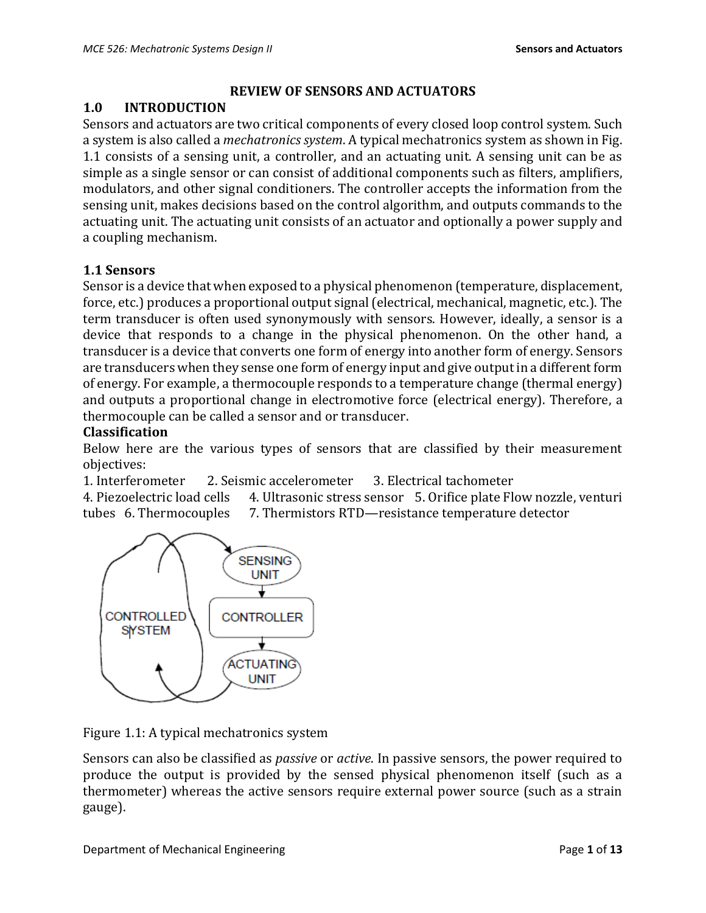## **REVIEW OF SENSORS AND ACTUATORS**

## **1.0 INTRODUCTION**

Sensors and actuators are two critical components of every closed loop control system. Such a system is also called a *mechatronics system*. A typical mechatronics system as shown in Fig. 1.1 consists of a sensing unit, a controller, and an actuating unit. A sensing unit can be as simple as a single sensor or can consist of additional components such as filters, amplifiers, modulators, and other signal conditioners. The controller accepts the information from the sensing unit, makes decisions based on the control algorithm, and outputs commands to the actuating unit. The actuating unit consists of an actuator and optionally a power supply and a coupling mechanism.

## **1.1 Sensors**

Sensor is a device that when exposed to a physical phenomenon (temperature, displacement, force, etc.) produces a proportional output signal (electrical, mechanical, magnetic, etc.). The term transducer is often used synonymously with sensors. However, ideally, a sensor is a device that responds to a change in the physical phenomenon. On the other hand, a transducer is a device that converts one form of energy into another form of energy. Sensors are transducers when they sense one form of energy input and give output in a different form of energy. For example, a thermocouple responds to a temperature change (thermal energy) and outputs a proportional change in electromotive force (electrical energy). Therefore, a thermocouple can be called a sensor and or transducer.

## **Classification**

Below here are the various types of sensors that are classified by their measurement objectives:

1. Interferometer 2. Seismic accelerometer 3. Electrical tachometer

4. Piezoelectric load cells 4. Ultrasonic stress sensor 5. Orifice plate Flow nozzle, venturi tubes 6. Thermocouples 7. Thermistors RTD—resistance temperature detector



Figure 1.1: A typical mechatronics system

Sensors can also be classified as *passive* or *active*. In passive sensors, the power required to produce the output is provided by the sensed physical phenomenon itself (such as a thermometer) whereas the active sensors require external power source (such as a strain gauge).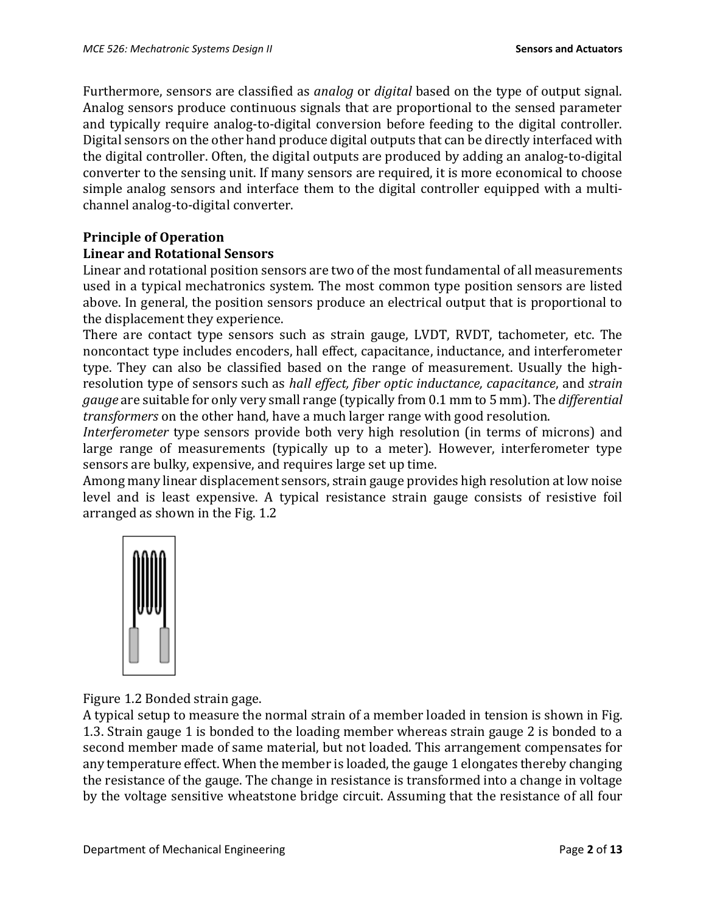Furthermore, sensors are classified as *analog* or *digital* based on the type of output signal. Analog sensors produce continuous signals that are proportional to the sensed parameter and typically require analog-to-digital conversion before feeding to the digital controller. Digital sensors on the other hand produce digital outputs that can be directly interfaced with the digital controller. Often, the digital outputs are produced by adding an analog-to-digital converter to the sensing unit. If many sensors are required, it is more economical to choose simple analog sensors and interface them to the digital controller equipped with a multichannel analog-to-digital converter.

## **Principle of Operation**

## **Linear and Rotational Sensors**

Linear and rotational position sensors are two of the most fundamental of all measurements used in a typical mechatronics system. The most common type position sensors are listed above. In general, the position sensors produce an electrical output that is proportional to the displacement they experience.

There are contact type sensors such as strain gauge, LVDT, RVDT, tachometer, etc. The noncontact type includes encoders, hall effect, capacitance, inductance, and interferometer type. They can also be classified based on the range of measurement. Usually the highresolution type of sensors such as *hall effect, fiber optic inductance, capacitance*, and *strain gauge* are suitable for only very small range (typically from 0.1 mm to 5 mm). The *differential transformers* on the other hand, have a much larger range with good resolution.

*Interferometer* type sensors provide both very high resolution (in terms of microns) and large range of measurements (typically up to a meter). However, interferometer type sensors are bulky, expensive, and requires large set up time.

Among many linear displacement sensors, strain gauge provides high resolution at low noise level and is least expensive. A typical resistance strain gauge consists of resistive foil arranged as shown in the Fig. 1.2



Figure 1.2 Bonded strain gage.

A typical setup to measure the normal strain of a member loaded in tension is shown in Fig. 1.3. Strain gauge 1 is bonded to the loading member whereas strain gauge 2 is bonded to a second member made of same material, but not loaded. This arrangement compensates for any temperature effect. When the member is loaded, the gauge 1 elongates thereby changing the resistance of the gauge. The change in resistance is transformed into a change in voltage by the voltage sensitive wheatstone bridge circuit. Assuming that the resistance of all four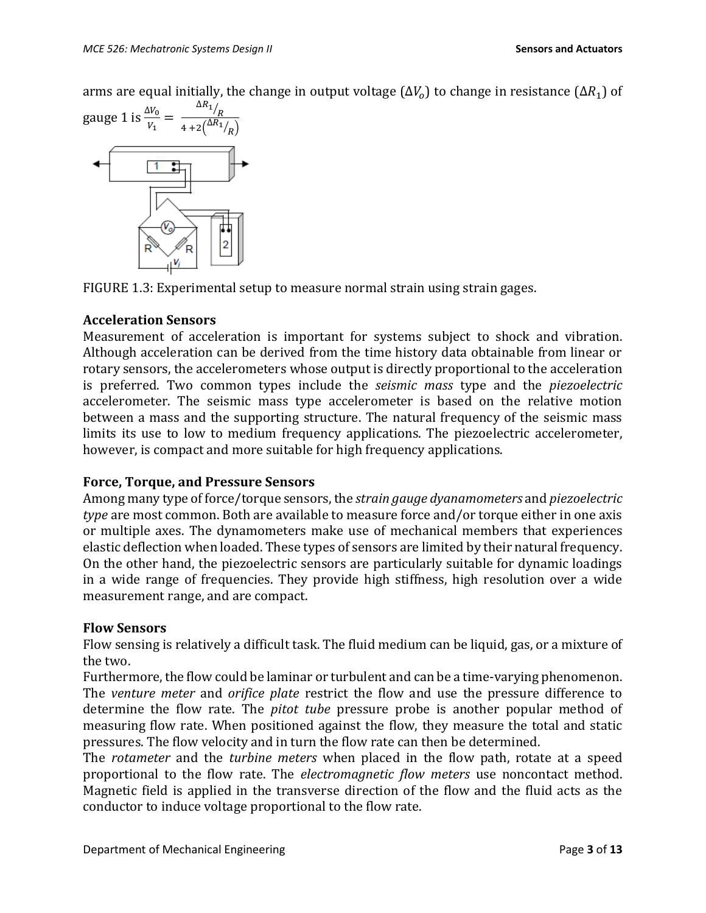arms are equal initially, the change in output voltage ( $\Delta V_o$ ) to change in resistance ( $\Delta R_1$ ) of



FIGURE 1.3: Experimental setup to measure normal strain using strain gages.

## **Acceleration Sensors**

Measurement of acceleration is important for systems subject to shock and vibration. Although acceleration can be derived from the time history data obtainable from linear or rotary sensors, the accelerometers whose output is directly proportional to the acceleration is preferred. Two common types include the *seismic mass* type and the *piezoelectric* accelerometer. The seismic mass type accelerometer is based on the relative motion between a mass and the supporting structure. The natural frequency of the seismic mass limits its use to low to medium frequency applications. The piezoelectric accelerometer, however, is compact and more suitable for high frequency applications.

#### **Force, Torque, and Pressure Sensors**

Among many type of force/torque sensors, the *strain gauge dyanamometers* and *piezoelectric type* are most common. Both are available to measure force and/or torque either in one axis or multiple axes. The dynamometers make use of mechanical members that experiences elastic deflection when loaded. These types of sensors are limited by their natural frequency. On the other hand, the piezoelectric sensors are particularly suitable for dynamic loadings in a wide range of frequencies. They provide high stiffness, high resolution over a wide measurement range, and are compact.

#### **Flow Sensors**

Flow sensing is relatively a difficult task. The fluid medium can be liquid, gas, or a mixture of the two.

Furthermore, the flow could be laminar or turbulent and can be a time-varying phenomenon. The *venture meter* and *orifice plate* restrict the flow and use the pressure difference to determine the flow rate. The *pitot tube* pressure probe is another popular method of measuring flow rate. When positioned against the flow, they measure the total and static pressures. The flow velocity and in turn the flow rate can then be determined.

The *rotameter* and the *turbine meters* when placed in the flow path, rotate at a speed proportional to the flow rate. The *electromagnetic flow meters* use noncontact method. Magnetic field is applied in the transverse direction of the flow and the fluid acts as the conductor to induce voltage proportional to the flow rate.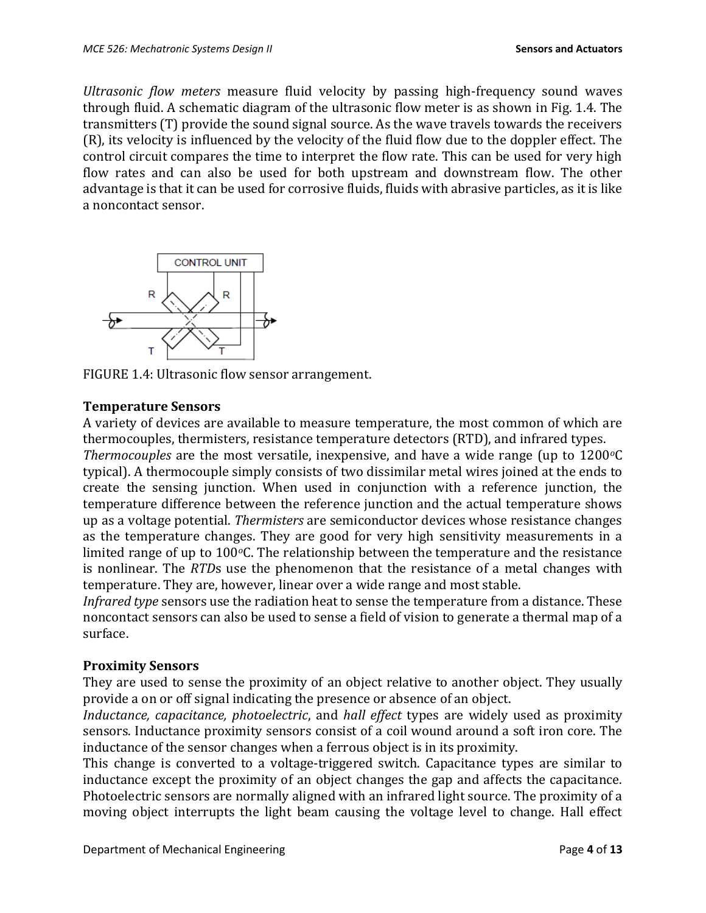*Ultrasonic flow meters* measure fluid velocity by passing high-frequency sound waves through fluid. A schematic diagram of the ultrasonic flow meter is as shown in Fig. 1.4. The transmitters (T) provide the sound signal source. As the wave travels towards the receivers (R), its velocity is influenced by the velocity of the fluid flow due to the doppler effect. The control circuit compares the time to interpret the flow rate. This can be used for very high flow rates and can also be used for both upstream and downstream flow. The other advantage is that it can be used for corrosive fluids, fluids with abrasive particles, as it is like a noncontact sensor.



FIGURE 1.4: Ultrasonic flow sensor arrangement.

## **Temperature Sensors**

A variety of devices are available to measure temperature, the most common of which are thermocouples, thermisters, resistance temperature detectors (RTD), and infrared types.

*Thermocouples* are the most versatile, inexpensive, and have a wide range (up to 1200*o*C typical). A thermocouple simply consists of two dissimilar metal wires joined at the ends to create the sensing junction. When used in conjunction with a reference junction, the temperature difference between the reference junction and the actual temperature shows up as a voltage potential. *Thermisters* are semiconductor devices whose resistance changes as the temperature changes. They are good for very high sensitivity measurements in a limited range of up to 100*o*C. The relationship between the temperature and the resistance is nonlinear. The *RTD*s use the phenomenon that the resistance of a metal changes with temperature. They are, however, linear over a wide range and most stable.

*Infrared type* sensors use the radiation heat to sense the temperature from a distance. These noncontact sensors can also be used to sense a field of vision to generate a thermal map of a surface.

#### **Proximity Sensors**

They are used to sense the proximity of an object relative to another object. They usually provide a on or off signal indicating the presence or absence of an object.

*Inductance, capacitance, photoelectric*, and *hall effect* types are widely used as proximity sensors. Inductance proximity sensors consist of a coil wound around a soft iron core. The inductance of the sensor changes when a ferrous object is in its proximity.

This change is converted to a voltage-triggered switch. Capacitance types are similar to inductance except the proximity of an object changes the gap and affects the capacitance. Photoelectric sensors are normally aligned with an infrared light source. The proximity of a moving object interrupts the light beam causing the voltage level to change. Hall effect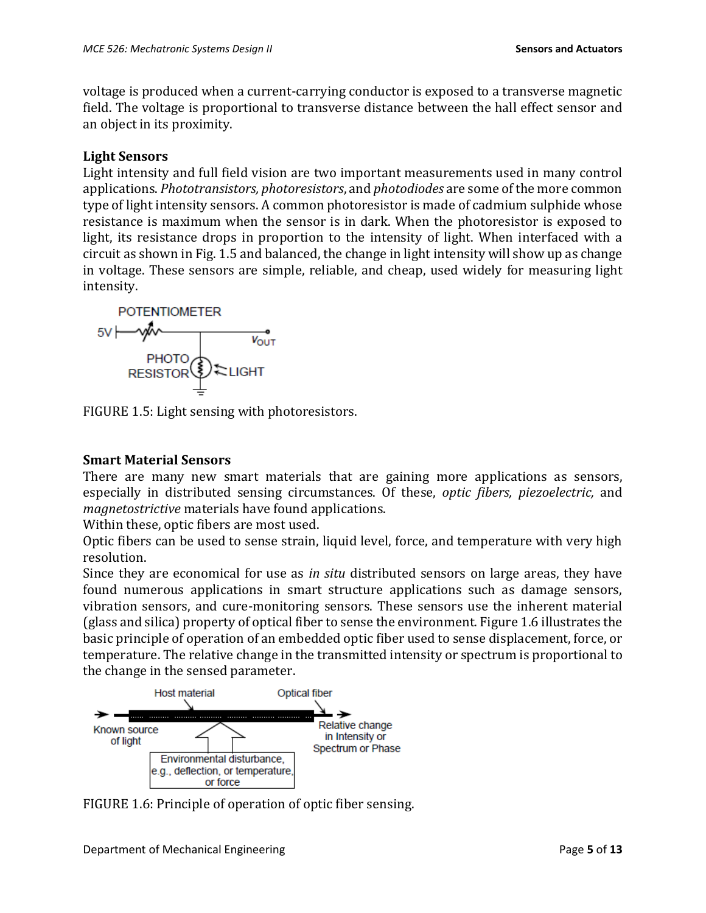voltage is produced when a current-carrying conductor is exposed to a transverse magnetic field. The voltage is proportional to transverse distance between the hall effect sensor and an object in its proximity.

## **Light Sensors**

Light intensity and full field vision are two important measurements used in many control applications. *Phototransistors, photoresistors*, and *photodiodes* are some of the more common type of light intensity sensors. A common photoresistor is made of cadmium sulphide whose resistance is maximum when the sensor is in dark. When the photoresistor is exposed to light, its resistance drops in proportion to the intensity of light. When interfaced with a circuit as shown in Fig. 1.5 and balanced, the change in light intensity will show up as change in voltage. These sensors are simple, reliable, and cheap, used widely for measuring light intensity.





## **Smart Material Sensors**

There are many new smart materials that are gaining more applications as sensors, especially in distributed sensing circumstances. Of these, *optic fibers, piezoelectric,* and *magnetostrictive* materials have found applications.

Within these, optic fibers are most used.

Optic fibers can be used to sense strain, liquid level, force, and temperature with very high resolution.

Since they are economical for use as *in situ* distributed sensors on large areas, they have found numerous applications in smart structure applications such as damage sensors, vibration sensors, and cure-monitoring sensors. These sensors use the inherent material (glass and silica) property of optical fiber to sense the environment. Figure 1.6 illustrates the basic principle of operation of an embedded optic fiber used to sense displacement, force, or temperature. The relative change in the transmitted intensity or spectrum is proportional to the change in the sensed parameter.



FIGURE 1.6: Principle of operation of optic fiber sensing.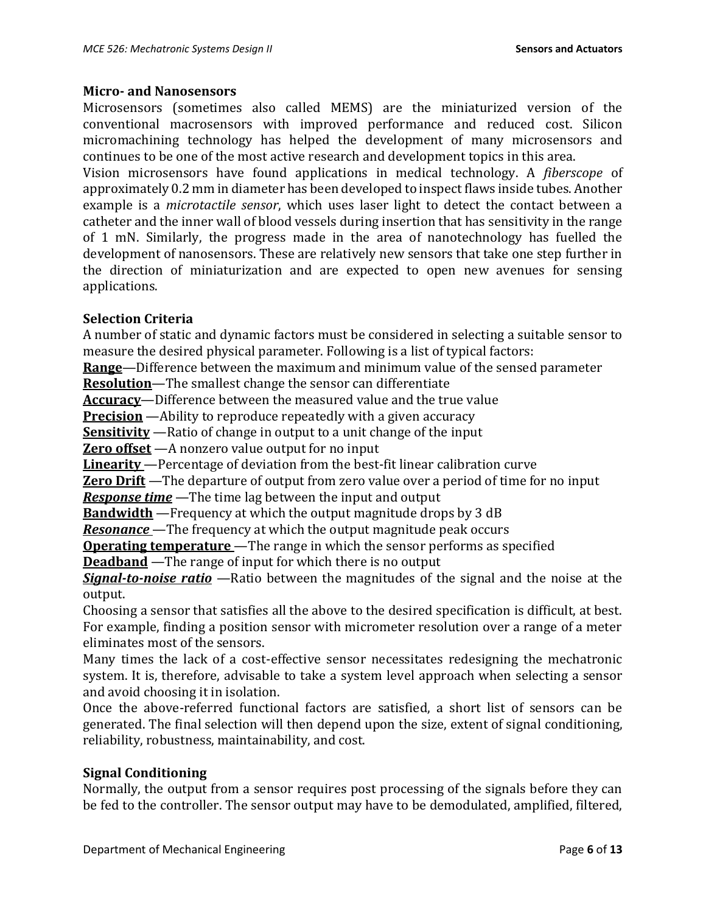#### **Micro- and Nanosensors**

Microsensors (sometimes also called MEMS) are the miniaturized version of the conventional macrosensors with improved performance and reduced cost. Silicon micromachining technology has helped the development of many microsensors and continues to be one of the most active research and development topics in this area.

Vision microsensors have found applications in medical technology. A *fiberscope* of approximately 0.2 mm in diameter has been developed to inspect flaws inside tubes. Another example is a *microtactile sensor*, which uses laser light to detect the contact between a catheter and the inner wall of blood vessels during insertion that has sensitivity in the range of 1 mN. Similarly, the progress made in the area of nanotechnology has fuelled the development of nanosensors. These are relatively new sensors that take one step further in the direction of miniaturization and are expected to open new avenues for sensing applications.

#### **Selection Criteria**

A number of static and dynamic factors must be considered in selecting a suitable sensor to measure the desired physical parameter. Following is a list of typical factors:

**Range**—Difference between the maximum and minimum value of the sensed parameter **Resolution**—The smallest change the sensor can differentiate

**Accuracy**—Difference between the measured value and the true value

**Precision** —Ability to reproduce repeatedly with a given accuracy

**Sensitivity** —Ratio of change in output to a unit change of the input

**Zero offset** —A nonzero value output for no input

**Linearity** —Percentage of deviation from the best-fit linear calibration curve

**Zero Drift** —The departure of output from zero value over a period of time for no input

*Response time* —The time lag between the input and output

**Bandwidth** —Frequency at which the output magnitude drops by 3 dB

*Resonance* —The frequency at which the output magnitude peak occurs

**Operating temperature** — The range in which the sensor performs as specified

**Deadband** —The range of input for which there is no output

*Signal-to-noise ratio* —Ratio between the magnitudes of the signal and the noise at the output.

Choosing a sensor that satisfies all the above to the desired specification is difficult, at best. For example, finding a position sensor with micrometer resolution over a range of a meter eliminates most of the sensors.

Many times the lack of a cost-effective sensor necessitates redesigning the mechatronic system. It is, therefore, advisable to take a system level approach when selecting a sensor and avoid choosing it in isolation.

Once the above-referred functional factors are satisfied, a short list of sensors can be generated. The final selection will then depend upon the size, extent of signal conditioning, reliability, robustness, maintainability, and cost.

#### **Signal Conditioning**

Normally, the output from a sensor requires post processing of the signals before they can be fed to the controller. The sensor output may have to be demodulated, amplified, filtered,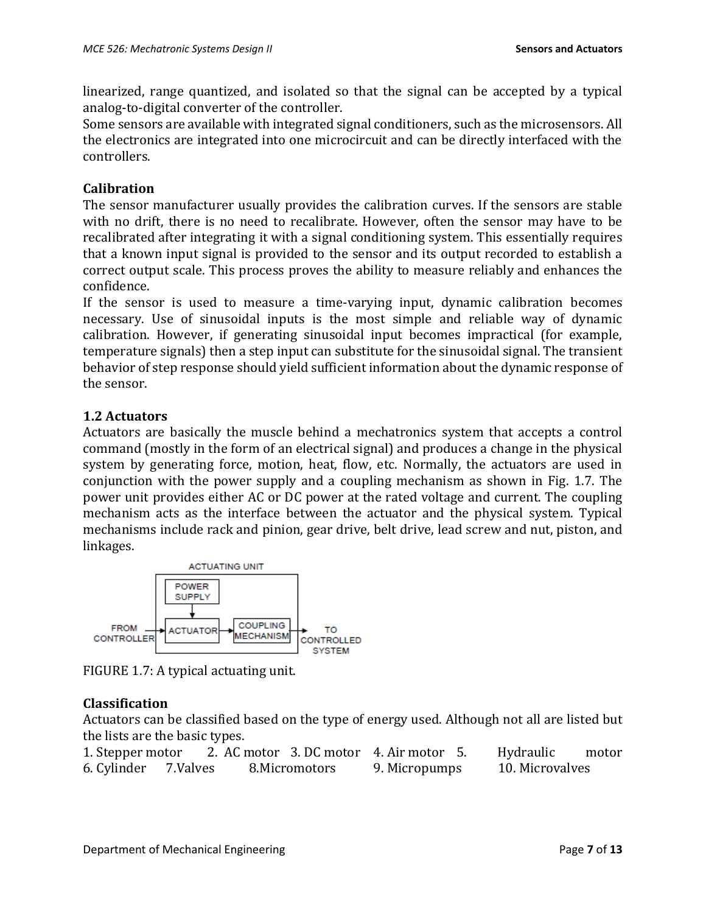linearized, range quantized, and isolated so that the signal can be accepted by a typical analog-to-digital converter of the controller.

Some sensors are available with integrated signal conditioners, such as the microsensors. All the electronics are integrated into one microcircuit and can be directly interfaced with the controllers.

## **Calibration**

The sensor manufacturer usually provides the calibration curves. If the sensors are stable with no drift, there is no need to recalibrate. However, often the sensor may have to be recalibrated after integrating it with a signal conditioning system. This essentially requires that a known input signal is provided to the sensor and its output recorded to establish a correct output scale. This process proves the ability to measure reliably and enhances the confidence.

If the sensor is used to measure a time-varying input, dynamic calibration becomes necessary. Use of sinusoidal inputs is the most simple and reliable way of dynamic calibration. However, if generating sinusoidal input becomes impractical (for example, temperature signals) then a step input can substitute for the sinusoidal signal. The transient behavior of step response should yield sufficient information about the dynamic response of the sensor.

## **1.2 Actuators**

Actuators are basically the muscle behind a mechatronics system that accepts a control command (mostly in the form of an electrical signal) and produces a change in the physical system by generating force, motion, heat, flow, etc. Normally, the actuators are used in conjunction with the power supply and a coupling mechanism as shown in Fig. 1.7. The power unit provides either AC or DC power at the rated voltage and current. The coupling mechanism acts as the interface between the actuator and the physical system. Typical mechanisms include rack and pinion, gear drive, belt drive, lead screw and nut, piston, and linkages.



FIGURE 1.7: A typical actuating unit.

# **Classification**

Actuators can be classified based on the type of energy used. Although not all are listed but the lists are the basic types.

| 1. Stepper motor |          |                | 2. AC motor 3. DC motor 4. Air motor 5. | Hydraulic       | motor |
|------------------|----------|----------------|-----------------------------------------|-----------------|-------|
| 6. Cylinder      | 7.Valves | 8. Micromotors | 9. Micropumps                           | 10. Microvalves |       |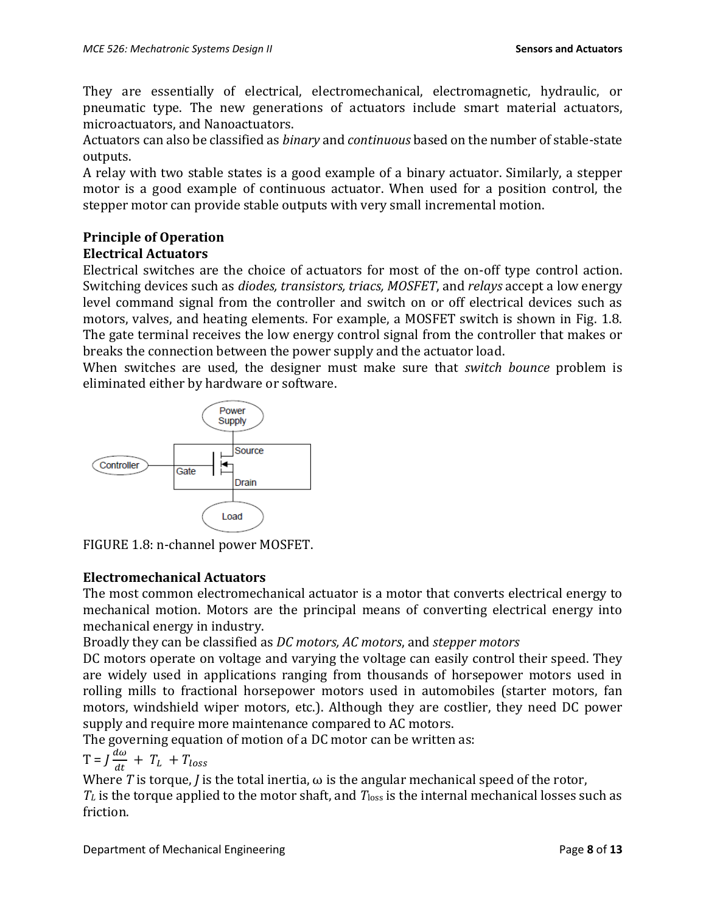They are essentially of electrical, electromechanical, electromagnetic, hydraulic, or pneumatic type. The new generations of actuators include smart material actuators, microactuators, and Nanoactuators.

Actuators can also be classified as *binary* and *continuous* based on the number of stable-state outputs.

A relay with two stable states is a good example of a binary actuator. Similarly, a stepper motor is a good example of continuous actuator. When used for a position control, the stepper motor can provide stable outputs with very small incremental motion.

# **Principle of Operation**

## **Electrical Actuators**

Electrical switches are the choice of actuators for most of the on-off type control action. Switching devices such as *diodes, transistors, triacs, MOSFET*, and *relays* accept a low energy level command signal from the controller and switch on or off electrical devices such as motors, valves, and heating elements. For example, a MOSFET switch is shown in Fig. 1.8. The gate terminal receives the low energy control signal from the controller that makes or breaks the connection between the power supply and the actuator load.

When switches are used, the designer must make sure that *switch bounce* problem is eliminated either by hardware or software.





# **Electromechanical Actuators**

The most common electromechanical actuator is a motor that converts electrical energy to mechanical motion. Motors are the principal means of converting electrical energy into mechanical energy in industry.

Broadly they can be classified as *DC motors, AC motors*, and *stepper motors*

DC motors operate on voltage and varying the voltage can easily control their speed. They are widely used in applications ranging from thousands of horsepower motors used in rolling mills to fractional horsepower motors used in automobiles (starter motors, fan motors, windshield wiper motors, etc.). Although they are costlier, they need DC power supply and require more maintenance compared to AC motors.

The governing equation of motion of a DC motor can be written as:

 $T = J \frac{d\omega}{dt}$  $\frac{d\omega}{dt} + T_L + T_{loss}$ 

Where *T* is torque, *J* is the total inertia,  $\omega$  is the angular mechanical speed of the rotor, *T<sub>L</sub>* is the torque applied to the motor shaft, and *T*<sub>loss</sub> is the internal mechanical losses such as friction.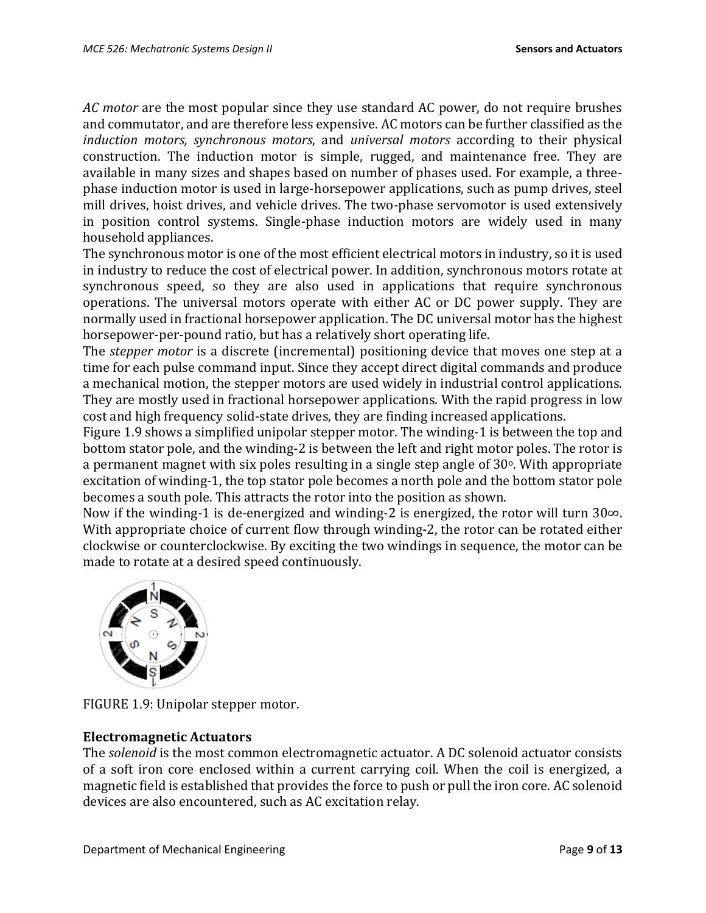*AC motor* are the most popular since they use standard AC power, do not require brushes and commutator, and are therefore less expensive. AC motors can be further classified as the *induction motors, synchronous motors*, and *universal motors* according to their physical construction. The induction motor is simple, rugged, and maintenance free. They are available in many sizes and shapes based on number of phases used. For example, a threephase induction motor is used in large-horsepower applications, such as pump drives, steel mill drives, hoist drives, and vehicle drives. The two-phase servomotor is used extensively in position control systems. Single-phase induction motors are widely used in many household appliances.

The synchronous motor is one of the most efficient electrical motors in industry, so it is used in industry to reduce the cost of electrical power. In addition, synchronous motors rotate at synchronous speed, so they are also used in applications that require synchronous operations. The universal motors operate with either AC or DC power supply. They are normally used in fractional horsepower application. The DC universal motor has the highest horsepower-per-pound ratio, but has a relatively short operating life.

The *stepper motor* is a discrete (incremental) positioning device that moves one step at a time for each pulse command input. Since they accept direct digital commands and produce a mechanical motion, the stepper motors are used widely in industrial control applications. They are mostly used in fractional horsepower applications. With the rapid progress in low cost and high frequency solid-state drives, they are finding increased applications.

Figure 1.9 shows a simplified unipolar stepper motor. The winding-1 is between the top and bottom stator pole, and the winding-2 is between the left and right motor poles. The rotor is a permanent magnet with six poles resulting in a single step angle of  $30^\circ$ . With appropriate excitation of winding-1, the top stator pole becomes a north pole and the bottom stator pole becomes a south pole. This attracts the rotor into the position as shown.

Now if the winding-1 is de-energized and winding-2 is energized, the rotor will turn 30∞. With appropriate choice of current flow through winding-2, the rotor can be rotated either clockwise or counterclockwise. By exciting the two windings in sequence, the motor can be made to rotate at a desired speed continuously.



FIGURE 1.9: Unipolar stepper motor.

#### **Electromagnetic Actuators**

The *solenoid* is the most common electromagnetic actuator. A DC solenoid actuator consists of a soft iron core enclosed within a current carrying coil. When the coil is energized, a magnetic field is established that provides the force to push or pull the iron core. AC solenoid devices are also encountered, such as AC excitation relay.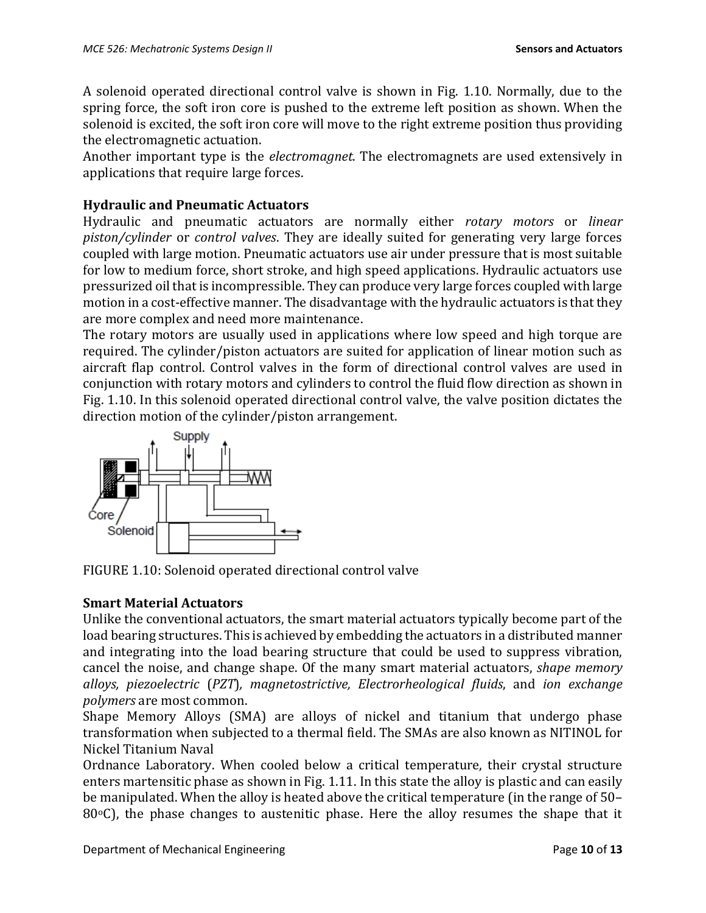A solenoid operated directional control valve is shown in Fig. 1.10. Normally, due to the spring force, the soft iron core is pushed to the extreme left position as shown. When the solenoid is excited, the soft iron core will move to the right extreme position thus providing the electromagnetic actuation.

Another important type is the *electromagnet*. The electromagnets are used extensively in applications that require large forces.

## **Hydraulic and Pneumatic Actuators**

Hydraulic and pneumatic actuators are normally either *rotary motors* or *linear piston/cylinder* or *control valves*. They are ideally suited for generating very large forces coupled with large motion. Pneumatic actuators use air under pressure that is most suitable for low to medium force, short stroke, and high speed applications. Hydraulic actuators use pressurized oil that is incompressible. They can produce very large forces coupled with large motion in a cost-effective manner. The disadvantage with the hydraulic actuators is that they are more complex and need more maintenance.

The rotary motors are usually used in applications where low speed and high torque are required. The cylinder/piston actuators are suited for application of linear motion such as aircraft flap control. Control valves in the form of directional control valves are used in conjunction with rotary motors and cylinders to control the fluid flow direction as shown in Fig. 1.10. In this solenoid operated directional control valve, the valve position dictates the direction motion of the cylinder/piston arrangement.



FIGURE 1.10: Solenoid operated directional control valve

## **Smart Material Actuators**

Unlike the conventional actuators, the smart material actuators typically become part of the load bearing structures. This is achieved by embedding the actuators in a distributed manner and integrating into the load bearing structure that could be used to suppress vibration, cancel the noise, and change shape. Of the many smart material actuators, *shape memory alloys, piezoelectric* (*PZT*)*, magnetostrictive, Electrorheological fluids*, and *ion exchange polymers* are most common.

Shape Memory Alloys (SMA) are alloys of nickel and titanium that undergo phase transformation when subjected to a thermal field. The SMAs are also known as NITINOL for Nickel Titanium Naval

Ordnance Laboratory. When cooled below a critical temperature, their crystal structure enters martensitic phase as shown in Fig. 1.11. In this state the alloy is plastic and can easily be manipulated. When the alloy is heated above the critical temperature (in the range of 50–  $80^{\circ}$ C), the phase changes to austenitic phase. Here the alloy resumes the shape that it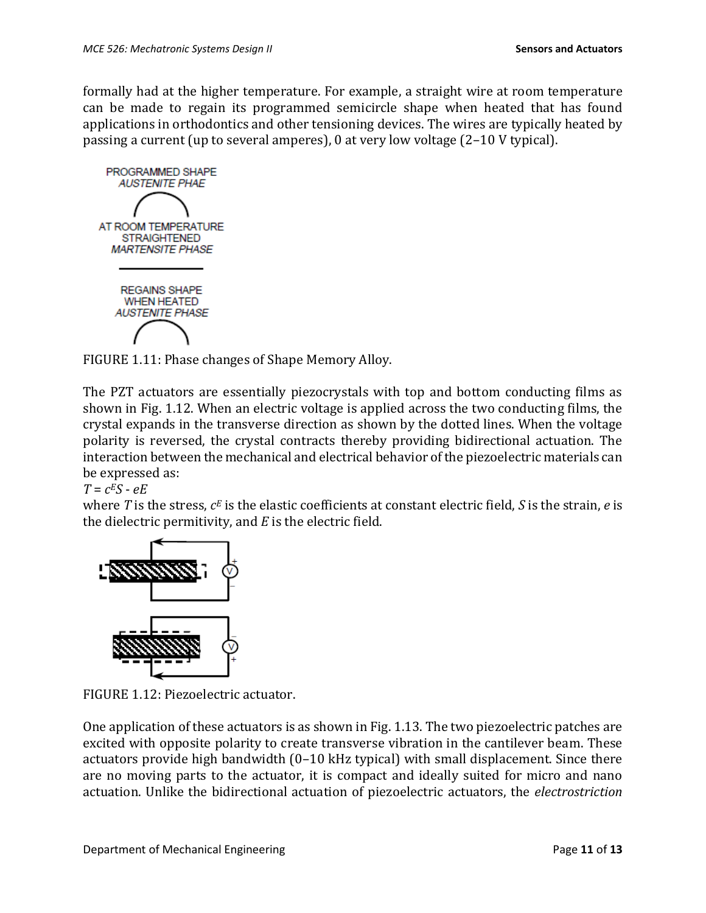formally had at the higher temperature. For example, a straight wire at room temperature can be made to regain its programmed semicircle shape when heated that has found applications in orthodontics and other tensioning devices. The wires are typically heated by passing a current (up to several amperes), 0 at very low voltage (2–10 V typical).





The PZT actuators are essentially piezocrystals with top and bottom conducting films as shown in Fig. 1.12. When an electric voltage is applied across the two conducting films, the crystal expands in the transverse direction as shown by the dotted lines. When the voltage polarity is reversed, the crystal contracts thereby providing bidirectional actuation. The interaction between the mechanical and electrical behavior of the piezoelectric materials can be expressed as:

 $T = c<sup>E</sup>S - eE$ 

where *T* is the stress,  $c^E$  is the elastic coefficients at constant electric field, *S* is the strain, *e* is the dielectric permitivity, and *E* is the electric field.



FIGURE 1.12: Piezoelectric actuator.

One application of these actuators is as shown in Fig. 1.13. The two piezoelectric patches are excited with opposite polarity to create transverse vibration in the cantilever beam. These actuators provide high bandwidth (0–10 kHz typical) with small displacement. Since there are no moving parts to the actuator, it is compact and ideally suited for micro and nano actuation. Unlike the bidirectional actuation of piezoelectric actuators, the *electrostriction*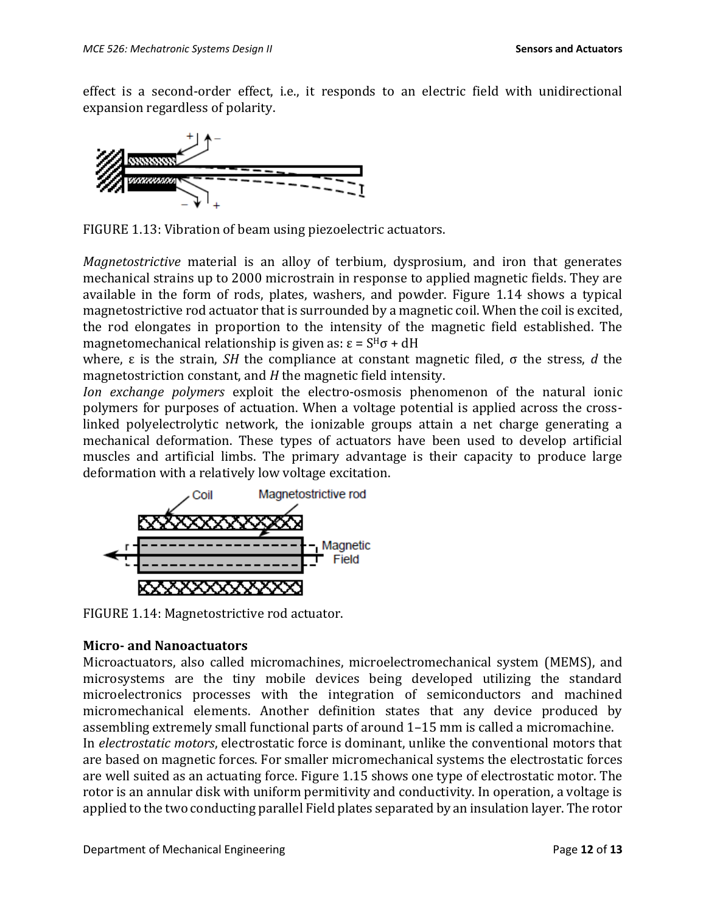effect is a second-order effect, i.e., it responds to an electric field with unidirectional expansion regardless of polarity.



FIGURE 1.13: Vibration of beam using piezoelectric actuators.

*Magnetostrictive* material is an alloy of terbium, dysprosium, and iron that generates mechanical strains up to 2000 microstrain in response to applied magnetic fields. They are available in the form of rods, plates, washers, and powder. Figure 1.14 shows a typical magnetostrictive rod actuator that is surrounded by a magnetic coil. When the coil is excited, the rod elongates in proportion to the intensity of the magnetic field established. The magnetomechanical relationship is given as:  $\epsilon = S^H \sigma + dH$ 

where, ε is the strain, *SH* the compliance at constant magnetic filed, σ the stress, *d* the magnetostriction constant, and *H* the magnetic field intensity.

*Ion exchange polymers* exploit the electro-osmosis phenomenon of the natural ionic polymers for purposes of actuation. When a voltage potential is applied across the crosslinked polyelectrolytic network, the ionizable groups attain a net charge generating a mechanical deformation. These types of actuators have been used to develop artificial muscles and artificial limbs. The primary advantage is their capacity to produce large deformation with a relatively low voltage excitation.



FIGURE 1.14: Magnetostrictive rod actuator.

## **Micro- and Nanoactuators**

Microactuators, also called micromachines, microelectromechanical system (MEMS), and microsystems are the tiny mobile devices being developed utilizing the standard microelectronics processes with the integration of semiconductors and machined micromechanical elements. Another definition states that any device produced by assembling extremely small functional parts of around 1–15 mm is called a micromachine.

In *electrostatic motors*, electrostatic force is dominant, unlike the conventional motors that are based on magnetic forces. For smaller micromechanical systems the electrostatic forces are well suited as an actuating force. Figure 1.15 shows one type of electrostatic motor. The rotor is an annular disk with uniform permitivity and conductivity. In operation, a voltage is applied to the two conducting parallel Field plates separated by an insulation layer. The rotor